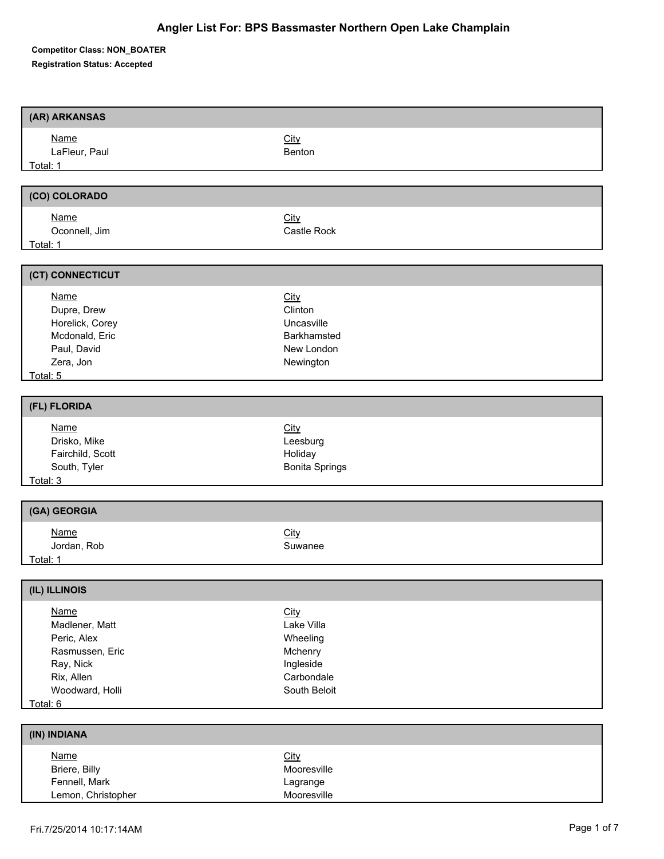**Competitor Class: NON\_BOATER** 

**Registration Status: Accepted**

| (AR) ARKANSAS                                                                                                             |                                                                                      |
|---------------------------------------------------------------------------------------------------------------------------|--------------------------------------------------------------------------------------|
| <b>Name</b><br>LaFleur, Paul<br>Total: 1                                                                                  | City<br>Benton                                                                       |
|                                                                                                                           |                                                                                      |
| (CO) COLORADO                                                                                                             |                                                                                      |
| <b>Name</b><br>Oconnell, Jim<br>Total: 1                                                                                  | City<br>Castle Rock                                                                  |
| (CT) CONNECTICUT                                                                                                          |                                                                                      |
| <b>Name</b><br>Dupre, Drew<br>Horelick, Corey<br>Mcdonald, Eric<br>Paul, David<br>Zera, Jon<br>Total: 5                   | City<br>Clinton<br>Uncasville<br>Barkhamsted<br>New London<br>Newington              |
|                                                                                                                           |                                                                                      |
| (FL) FLORIDA                                                                                                              |                                                                                      |
| <b>Name</b><br>Drisko, Mike<br>Fairchild, Scott<br>South, Tyler<br>Total: 3                                               | City<br>Leesburg<br>Holiday<br><b>Bonita Springs</b>                                 |
| (GA) GEORGIA                                                                                                              |                                                                                      |
| <b>Name</b><br>Jordan, Rob<br>Total: 1                                                                                    | City<br>Suwanee                                                                      |
| (IL) ILLINOIS                                                                                                             |                                                                                      |
| <b>Name</b><br>Madlener, Matt<br>Peric, Alex<br>Rasmussen, Eric<br>Ray, Nick<br>Rix, Allen<br>Woodward, Holli<br>Total: 6 | City<br>Lake Villa<br>Wheeling<br>Mchenry<br>Ingleside<br>Carbondale<br>South Beloit |
|                                                                                                                           |                                                                                      |
| (IN) INDIANA                                                                                                              |                                                                                      |
| <b>Name</b><br>Briere, Billy<br>Fennell, Mark<br>Lemon, Christopher                                                       | City<br>Mooresville<br>Lagrange<br>Mooresville                                       |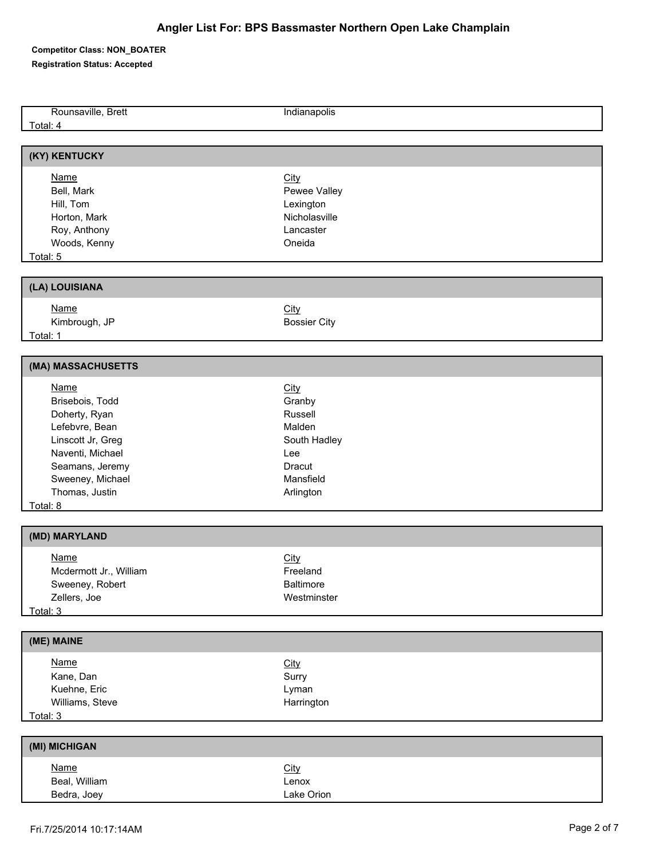**Competitor Class: NON\_BOATER** 

**Registration Status: Accepted**

| Rounsaville, Brett     | Indianapolis        |  |
|------------------------|---------------------|--|
| Total: 4               |                     |  |
|                        |                     |  |
|                        |                     |  |
| (KY) KENTUCKY          |                     |  |
| <b>Name</b>            |                     |  |
|                        | City                |  |
| Bell, Mark             | Pewee Valley        |  |
| Hill, Tom              | Lexington           |  |
| Horton, Mark           | Nicholasville       |  |
| Roy, Anthony           | Lancaster           |  |
| Woods, Kenny           | Oneida              |  |
| Total: 5               |                     |  |
|                        |                     |  |
| (LA) LOUISIANA         |                     |  |
| <b>Name</b>            | City                |  |
| Kimbrough, JP          | <b>Bossier City</b> |  |
| Total: 1               |                     |  |
|                        |                     |  |
| (MA) MASSACHUSETTS     |                     |  |
| <b>Name</b>            | City                |  |
| Brisebois, Todd        | Granby              |  |
| Doherty, Ryan          | Russell             |  |
| Lefebvre, Bean         | Malden              |  |
|                        |                     |  |
| Linscott Jr, Greg      | South Hadley        |  |
| Naventi, Michael       | Lee                 |  |
| Seamans, Jeremy        | Dracut              |  |
| Sweeney, Michael       | Mansfield           |  |
| Thomas, Justin         | Arlington           |  |
| Total: 8               |                     |  |
| (MD) MARYLAND          |                     |  |
|                        |                     |  |
| <b>Name</b>            | City                |  |
| Mcdermott Jr., William | Freeland            |  |
| Sweeney, Robert        | <b>Baltimore</b>    |  |
| Zellers, Joe           | Westminster         |  |
| Total: 3               |                     |  |
|                        |                     |  |
| (ME) MAINE             |                     |  |
| <b>Name</b>            | <b>City</b>         |  |
| Kane, Dan              | Surry               |  |
| Kuehne, Eric           | Lyman               |  |
| Williams, Steve        | Harrington          |  |
| Total: 3               |                     |  |
|                        |                     |  |
| (MI) MICHIGAN          |                     |  |
| <b>Name</b>            | City                |  |
| Beal, William          | Lenox               |  |
| Bedra, Joey            | Lake Orion          |  |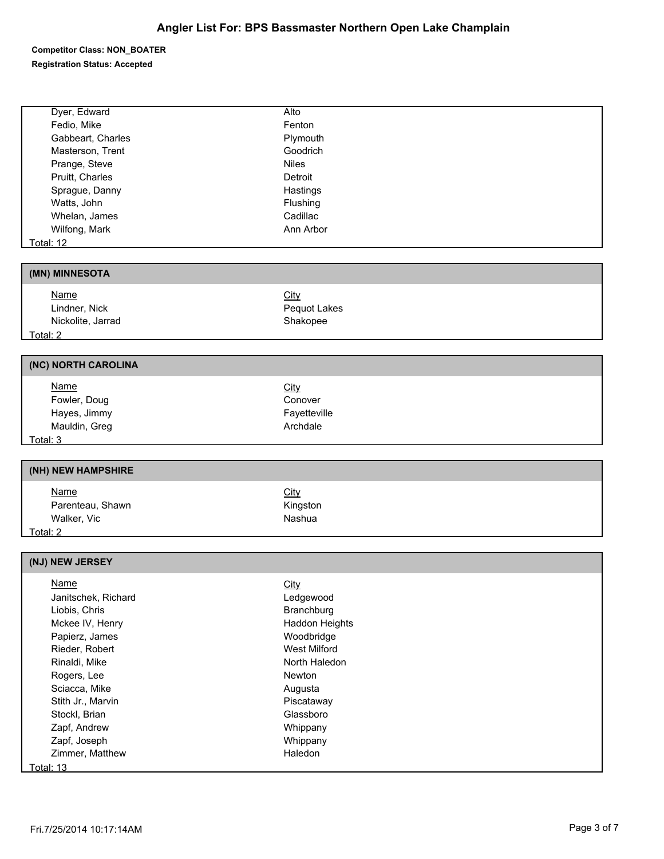**Competitor Class: NON\_BOATER** 

**Registration Status: Accepted**

Г

| Dyer, Edward        | Alto                  |
|---------------------|-----------------------|
| Fedio, Mike         | Fenton                |
| Gabbeart, Charles   | Plymouth              |
| Masterson, Trent    | Goodrich              |
| Prange, Steve       | <b>Niles</b>          |
| Pruitt, Charles     | Detroit               |
| Sprague, Danny      | Hastings              |
| Watts, John         | Flushing              |
| Whelan, James       | Cadillac              |
| Wilfong, Mark       | Ann Arbor             |
| <b>Total: 12</b>    |                       |
|                     |                       |
| (MN) MINNESOTA      |                       |
| <b>Name</b>         | City                  |
| Lindner, Nick       | Pequot Lakes          |
| Nickolite, Jarrad   | Shakopee              |
| Total: 2            |                       |
|                     |                       |
| (NC) NORTH CAROLINA |                       |
| <b>Name</b>         | <b>City</b>           |
| Fowler, Doug        | Conover               |
| Hayes, Jimmy        | Fayetteville          |
| Mauldin, Greg       | Archdale              |
| Total: 3            |                       |
|                     |                       |
|                     |                       |
| (NH) NEW HAMPSHIRE  |                       |
|                     |                       |
| <b>Name</b>         | City                  |
| Parenteau, Shawn    | Kingston<br>Nashua    |
| Walker, Vic         |                       |
| Total: 2            |                       |
| (NJ) NEW JERSEY     |                       |
| <b>Name</b>         | <b>City</b>           |
| Janitschek, Richard | Ledgewood             |
| Liobis, Chris       | Branchburg            |
| Mckee IV, Henry     | <b>Haddon Heights</b> |
| Papierz, James      | Woodbridge            |
| Rieder, Robert      | <b>West Milford</b>   |
| Rinaldi, Mike       | North Haledon         |
| Rogers, Lee         | Newton                |
| Sciacca, Mike       | Augusta               |
| Stith Jr., Marvin   | Piscataway            |
| Stockl, Brian       | Glassboro             |
| Zapf, Andrew        | Whippany              |
| Zapf, Joseph        | Whippany              |
| Zimmer, Matthew     | Haledon               |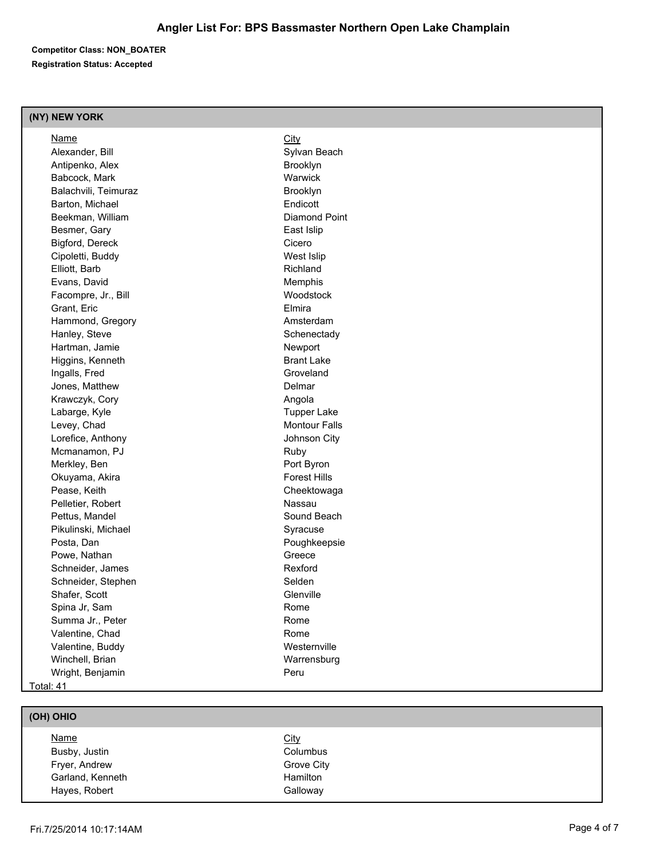**Competitor Class: NON\_BOATER Registration Status: Accepted**

#### **(NY) NEW YORK**

| Name                 | <b>City</b>          |
|----------------------|----------------------|
| Alexander, Bill      | Sylvan Beach         |
| Antipenko, Alex      | Brooklyn             |
| Babcock, Mark        | Warwick              |
| Balachvili, Teimuraz | Brooklyn             |
| Barton, Michael      | Endicott             |
| Beekman, William     | Diamond Point        |
| Besmer, Gary         | East Islip           |
| Bigford, Dereck      | Cicero               |
| Cipoletti, Buddy     | West Islip           |
| Elliott, Barb        | Richland             |
| Evans, David         | Memphis              |
| Facompre, Jr., Bill  | Woodstock            |
| Grant, Eric          | Elmira               |
| Hammond, Gregory     | Amsterdam            |
| Hanley, Steve        | Schenectady          |
| Hartman, Jamie       | Newport              |
| Higgins, Kenneth     | <b>Brant Lake</b>    |
| Ingalls, Fred        | Groveland            |
| Jones, Matthew       | Delmar               |
| Krawczyk, Cory       | Angola               |
| Labarge, Kyle        | <b>Tupper Lake</b>   |
| Levey, Chad          | <b>Montour Falls</b> |
| Lorefice, Anthony    | Johnson City         |
| Mcmanamon, PJ        | Ruby                 |
| Merkley, Ben         | Port Byron           |
| Okuyama, Akira       | <b>Forest Hills</b>  |
| Pease, Keith         | Cheektowaga          |
| Pelletier, Robert    | Nassau               |
| Pettus, Mandel       | Sound Beach          |
| Pikulinski, Michael  | Syracuse             |
| Posta, Dan           | Poughkeepsie         |
| Powe, Nathan         | Greece               |
| Schneider, James     | Rexford              |
| Schneider, Stephen   | Selden               |
| Shafer, Scott        | Glenville            |
| Spina Jr, Sam        | Rome                 |
| Summa Jr., Peter     | Rome                 |
| Valentine, Chad      | Rome                 |
| Valentine, Buddy     | Westernville         |
| Winchell, Brian      | Warrensburg          |
| Wright, Benjamin     | Peru                 |
| Total: 41            |                      |

# **(OH) OHIO**

| <u>Name</u>      | <u>City</u>     |
|------------------|-----------------|
| Busby, Justin    | Columbus        |
| Fryer, Andrew    | Grove City      |
| Garland, Kenneth | <b>Hamilton</b> |
| Hayes, Robert    | Galloway        |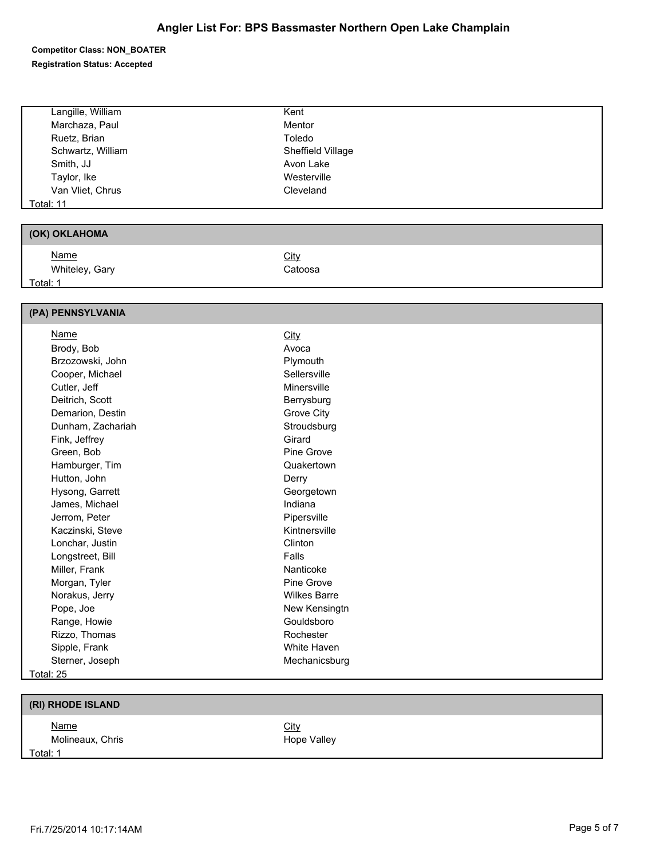**Competitor Class: NON\_BOATER** 

**Registration Status: Accepted**

| Langille, William | Kent                |  |
|-------------------|---------------------|--|
| Marchaza, Paul    | Mentor              |  |
| Ruetz, Brian      | Toledo              |  |
| Schwartz, William | Sheffield Village   |  |
| Smith, JJ         | Avon Lake           |  |
| Taylor, Ike       | Westerville         |  |
| Van Vliet, Chrus  | Cleveland           |  |
| <b>Total: 11</b>  |                     |  |
|                   |                     |  |
| (OK) OKLAHOMA     |                     |  |
| Name              | City                |  |
| Whiteley, Gary    | Catoosa             |  |
| Total: 1          |                     |  |
|                   |                     |  |
| (PA) PENNSYLVANIA |                     |  |
| <b>Name</b>       | City                |  |
| Brody, Bob        | Avoca               |  |
| Brzozowski, John  | Plymouth            |  |
| Cooper, Michael   | Sellersville        |  |
| Cutler, Jeff      | Minersville         |  |
| Deitrich, Scott   | Berrysburg          |  |
| Demarion, Destin  | Grove City          |  |
| Dunham, Zachariah | Stroudsburg         |  |
| Fink, Jeffrey     | Girard              |  |
| Green, Bob        | Pine Grove          |  |
| Hamburger, Tim    | Quakertown          |  |
| Hutton, John      | Derry               |  |
| Hysong, Garrett   | Georgetown          |  |
| James, Michael    | Indiana             |  |
| Jerrom, Peter     | Pipersville         |  |
| Kaczinski, Steve  | Kintnersville       |  |
| Lonchar, Justin   | Clinton             |  |
| Longstreet, Bill  | Falls               |  |
| Miller, Frank     | Nanticoke           |  |
| Morgan, Tyler     | Pine Grove          |  |
| Norakus, Jerry    | <b>Wilkes Barre</b> |  |
| Pope, Joe         | New Kensingtn       |  |
| Range, Howie      | Gouldsboro          |  |
| Rizzo, Thomas     | Rochester           |  |
| Sipple, Frank     | White Haven         |  |
| Sterner, Joseph   | Mechanicsburg       |  |

Total: 25

### **(RI) RHODE ISLAND**

Name City Molineaux, Chris **Hope Valley** 

Total: 1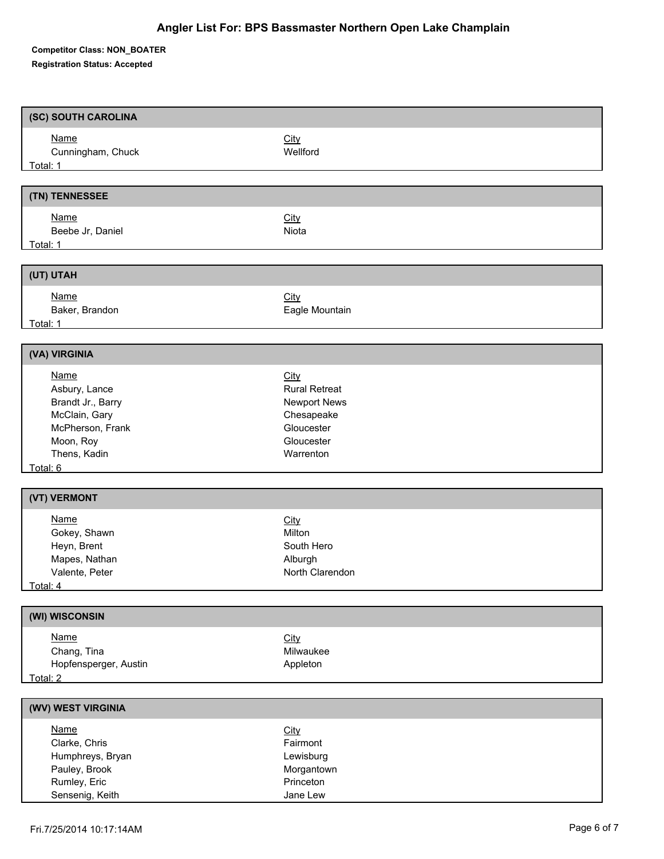**Competitor Class: NON\_BOATER** 

**Registration Status: Accepted**

| (SC) SOUTH CAROLINA                                                                                                                                |                                                                                                            |
|----------------------------------------------------------------------------------------------------------------------------------------------------|------------------------------------------------------------------------------------------------------------|
| <b>Name</b><br>Cunningham, Chuck<br>Total: 1 and 1 and 1 and 1 and 1 and 1 and 1 and 1 and 1 and 1 and 1 and 1 and 1 and 1 and 1 and 1 and 1 and 1 | City<br>Wellford                                                                                           |
|                                                                                                                                                    |                                                                                                            |
| (TN) TENNESSEE                                                                                                                                     |                                                                                                            |
| <b>Name</b><br>Beebe Jr, Daniel<br><b>Total: 1</b>                                                                                                 | City<br>Niota                                                                                              |
| (UT) UTAH                                                                                                                                          |                                                                                                            |
| <b>Name</b><br>Baker, Brandon<br><b>Total: 1</b> Total: 1                                                                                          | <b>City</b><br>Eagle Mountain                                                                              |
| (VA) VIRGINIA                                                                                                                                      |                                                                                                            |
| <b>Name</b><br>Asbury, Lance<br>Brandt Jr., Barry<br>McClain, Gary<br>McPherson, Frank<br>Moon, Roy<br>Thens, Kadin<br>Total: 6                    | City<br><b>Rural Retreat</b><br><b>Newport News</b><br>Chesapeake<br>Gloucester<br>Gloucester<br>Warrenton |
| (VT) VERMONT                                                                                                                                       |                                                                                                            |
| <b>Name</b><br>Gokey, Shawn<br>Heyn, Brent<br>Mapes, Nathan<br>Valente, Peter<br><u>Total: 4</u>                                                   | <b>City</b><br>Milton<br>South Hero<br>Alburgh<br>North Clarendon                                          |
| (WI) WISCONSIN                                                                                                                                     |                                                                                                            |
| <b>Name</b><br>Chang, Tina<br>Hopfensperger, Austin<br>Total: 2                                                                                    | City<br>Milwaukee<br>Appleton                                                                              |
| (WV) WEST VIRGINIA                                                                                                                                 |                                                                                                            |
| <b>Name</b><br>Clarke, Chris<br>Humphreys, Bryan<br>Pauley, Brook<br>Rumley, Eric<br>Sensenig, Keith                                               | City<br>Fairmont<br>Lewisburg<br>Morgantown<br>Princeton<br>Jane Lew                                       |